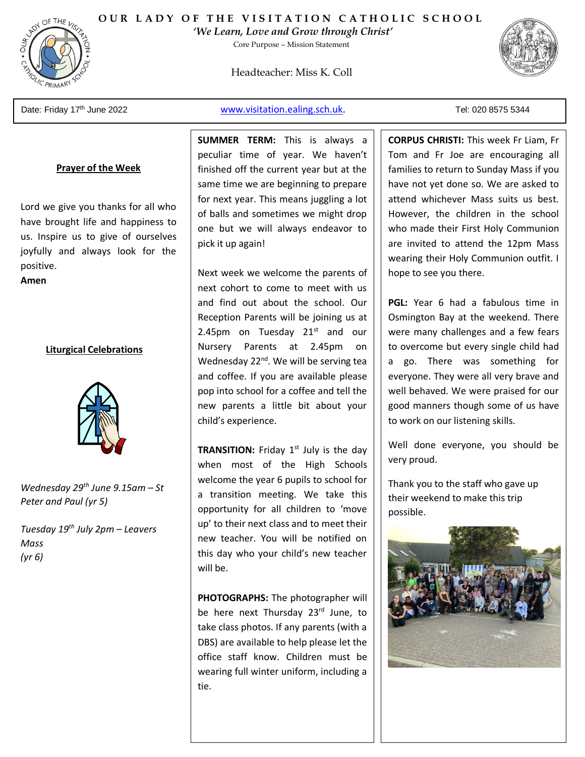

### **OUR LADY OF THE VISITATION CATHOLIC SCHOOL**

*'We Learn, Love and Grow through Christ'* 

Core Purpose – Mission Statement

Headteacher: Miss K. Coll



Date: Friday 17th June 2022

PRIMAR

[www.visitation.ealing.sch.uk.](http://www.visitation.ealing.sch.uk/) Tel: 020 8575 5344

#### **Prayer of the Week**

Lord we give you thanks for all who have brought life and happiness to us. Inspire us to give of ourselves joyfully and always look for the positive.

**Amen**

#### **Liturgical Celebrations**



*Wednesday 29th June 9.15am – St Peter and Paul (yr 5)*

*Tuesday 19th July 2pm – Leavers Mass (yr 6)* 

**SUMMER TERM:** This is always a peculiar time of year. We haven't finished off the current year but at the same time we are beginning to prepare for next year. This means juggling a lot of balls and sometimes we might drop one but we will always endeavor to pick it up again!

Next week we welcome the parents of next cohort to come to meet with us and find out about the school. Our Reception Parents will be joining us at 2.45pm on Tuesday  $21<sup>st</sup>$  and our Nursery Parents at 2.45pm on Wednesday 22<sup>nd</sup>. We will be serving tea and coffee. If you are available please pop into school for a coffee and tell the new parents a little bit about your child's experience.

**TRANSITION:** Friday 1<sup>st</sup> July is the day when most of the High Schools welcome the year 6 pupils to school for a transition meeting. We take this opportunity for all children to 'move up' to their next class and to meet their new teacher. You will be notified on this day who your child's new teacher will be.

**PHOTOGRAPHS:** The photographer will be here next Thursday 23<sup>rd</sup> June, to take class photos. If any parents (with a DBS) are available to help please let the office staff know. Children must be wearing full winter uniform, including a tie.

**CORPUS CHRISTI:** This week Fr Liam, Fr Tom and Fr Joe are encouraging all families to return to Sunday Mass if you have not yet done so. We are asked to attend whichever Mass suits us best. However, the children in the school who made their First Holy Communion are invited to attend the 12pm Mass wearing their Holy Communion outfit. I hope to see you there.

**PGL:** Year 6 had a fabulous time in Osmington Bay at the weekend. There were many challenges and a few fears to overcome but every single child had a go. There was something for everyone. They were all very brave and well behaved. We were praised for our good manners though some of us have to work on our listening skills.

Well done everyone, you should be very proud.

Thank you to the staff who gave up their weekend to make this trip possible.

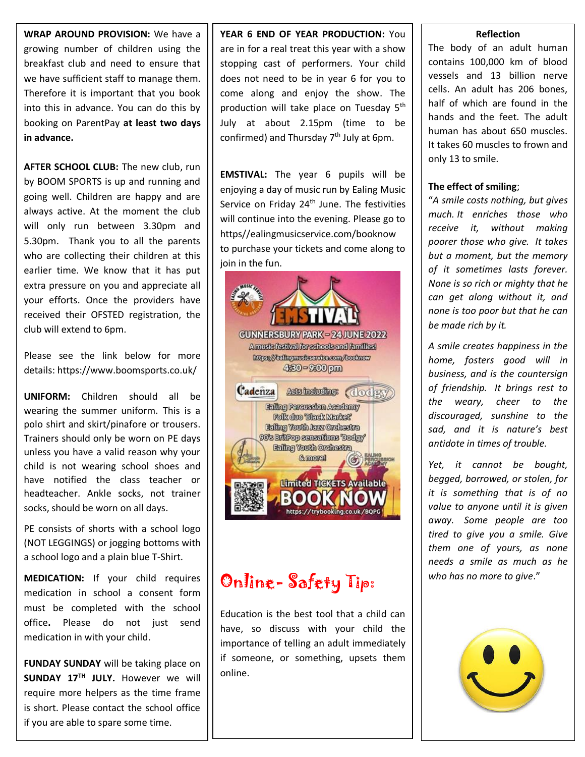**WRAP AROUND PROVISION:** We have a growing number of children using the breakfast club and need to ensure that we have sufficient staff to manage them. Therefore it is important that you book into this in advance. You can do this by booking on ParentPay **at least two days in advance.**

**AFTER SCHOOL CLUB:** The new club, run by BOOM SPORTS is up and running and going well. Children are happy and are always active. At the moment the club will only run between 3.30pm and 5.30pm. Thank you to all the parents who are collecting their children at this earlier time. We know that it has put extra pressure on you and appreciate all your efforts. Once the providers have received their OFSTED registration, the club will extend to 6pm.

Please see the link below for more details: https://www.boomsports.co.uk/

**UNIFORM:** Children should all be wearing the summer uniform. This is a polo shirt and skirt/pinafore or trousers. Trainers should only be worn on PE days unless you have a valid reason why your child is not wearing school shoes and have notified the class teacher or headteacher. Ankle socks, not trainer socks, should be worn on all days.

PE consists of shorts with a school logo (NOT LEGGINGS) or jogging bottoms with a school logo and a plain blue T-Shirt.

**MEDICATION:** If your child requires medication in school a consent form must be completed with the school office**.** Please do not just send medication in with your child.

**FUNDAY SUNDAY** will be taking place on **SUNDAY 17TH JULY.** However we will require more helpers as the time frame is short. Please contact the school office if you are able to spare some time.

**YEAR 6 END OF YEAR PRODUCTION:** You are in for a real treat this year with a show stopping cast of performers. Your child does not need to be in year 6 for you to come along and enjoy the show. The production will take place on Tuesday 5<sup>th</sup> July at about 2.15pm (time to be confirmed) and Thursday  $7<sup>th</sup>$  July at 6pm.

**EMSTIVAL:** The year 6 pupils will be enjoying a day of music run by Ealing Music Service on Friday 24<sup>th</sup> June. The festivities will continue into the evening. Please go to https//ealingmusicservice.com/booknow to purchase your tickets and come along to join in the fun.



## Online- Safety Tip:

Education is the best tool that a child can have, so discuss with your child the importance of telling an adult immediately if someone, or something, upsets them online.

#### **Reflection**

The body of an adult human contains 100,000 km of blood vessels and 13 billion nerve cells. An adult has 206 bones, half of which are found in the hands and the feet. The adult human has about 650 muscles. It takes 60 muscles to frown and only 13 to smile.

#### **The effect of smiling**;

"*A smile costs nothing, but gives much. It enriches those who receive it, without making poorer those who give. It takes but a moment, but the memory of it sometimes lasts forever. None is so rich or mighty that he can get along without it, and none is too poor but that he can be made rich by it.*

*A smile creates happiness in the home, fosters good will in business, and is the countersign of friendship. It brings rest to the weary, cheer to the discouraged, sunshine to the sad, and it is nature's best antidote in times of trouble.*

*Yet, it cannot be bought, begged, borrowed, or stolen, for it is something that is of no value to anyone until it is given away. Some people are too tired to give you a smile. Give them one of yours, as none needs a smile as much as he who has no more to give*."



 $\overline{\phantom{0}}$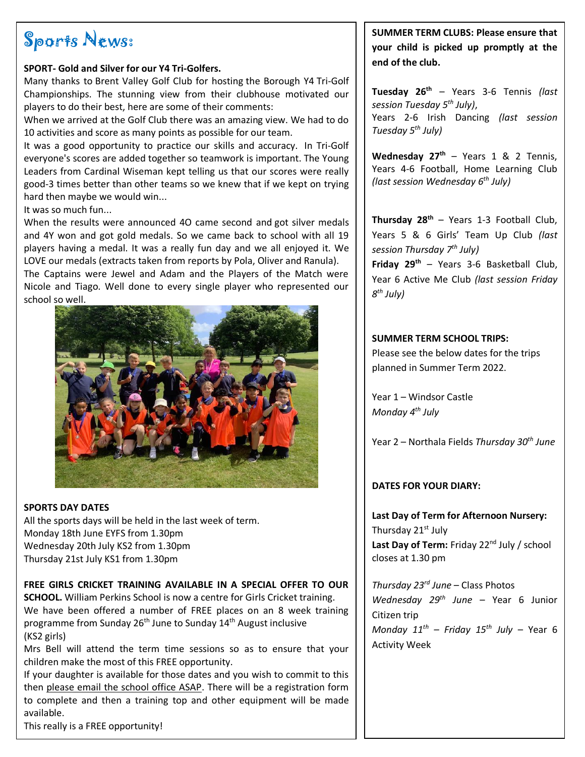## Sports News:

#### **SPORT- Gold and Silver for our Y4 Tri-Golfers.**

Many thanks to Brent Valley Golf Club for hosting the Borough Y4 Tri-Golf Championships. The stunning view from their clubhouse motivated our players to do their best, here are some of their comments:

When we arrived at the Golf Club there was an amazing view. We had to do 10 activities and score as many points as possible for our team.

It was a good opportunity to practice our skills and accuracy. In Tri-Golf everyone's scores are added together so teamwork is important. The Young Leaders from Cardinal Wiseman kept telling us that our scores were really good-3 times better than other teams so we knew that if we kept on trying hard then maybe we would win...

It was so much fun...

When the results were announced 4O came second and got silver medals and 4Y won and got gold medals. So we came back to school with all 19 players having a medal. It was a really fun day and we all enjoyed it. We LOVE our medals (extracts taken from reports by Pola, Oliver and Ranula).

The Captains were Jewel and Adam and the Players of the Match were Nicole and Tiago. Well done to every single player who represented our school so well.



#### **SPORTS DAY DATES**

All the sports days will be held in the last week of term. Monday 18th June EYFS from 1.30pm Wednesday 20th July KS2 from 1.30pm Thursday 21st July KS1 from 1.30pm

#### **FREE GIRLS CRICKET TRAINING AVAILABLE IN A SPECIAL OFFER TO OUR**

**SCHOOL.** William Perkins School is now a centre for Girls Cricket training. We have been offered a number of FREE places on an 8 week training programme from Sunday 26<sup>th</sup> June to Sunday 14<sup>th</sup> August inclusive (KS2 girls)

Mrs Bell will attend the term time sessions so as to ensure that your children make the most of this FREE opportunity.

If your daughter is available for those dates and you wish to commit to this then please email the school office ASAP. There will be a registration form to complete and then a training top and other equipment will be made available.

This really is a FREE opportunity!

**SUMMER TERM CLUBS: Please ensure that your child is picked up promptly at the end of the club.** 

**Tuesday 26th** – Years 3-6 Tennis *(last session Tuesday 5 th July)*, Years 2-6 Irish Dancing *(last session Tuesday 5 th July)*

**Wednesday 27th** – Years 1 & 2 Tennis, Years 4-6 Football, Home Learning Club *(last session Wednesday 6 th July)*

**Thursday 28th** – Years 1-3 Football Club, Years 5 & 6 Girls' Team Up Club *(last session Thursday 7 th July)*

**Friday 29th** – Years 3-6 Basketball Club, Year 6 Active Me Club *(last session Friday 8 th July)*

#### **SUMMER TERM SCHOOL TRIPS:**

Please see the below dates for the trips planned in Summer Term 2022.

Year 1 – Windsor Castle *Monday 4th July* 

Year 2 – Northala Fields *Thursday 30th June*

#### **DATES FOR YOUR DIARY:**

**Last Day of Term for Afternoon Nursery:**  Thursday 21<sup>st</sup> July Last Day of Term: Friday 22<sup>nd</sup> July / school closes at 1.30 pm

*Thursday 23rd June* – Class Photos *Wednesday 29th June* – Year 6 Junior Citizen trip *Monday 11th – Friday 15th July* – Year 6 Activity Week